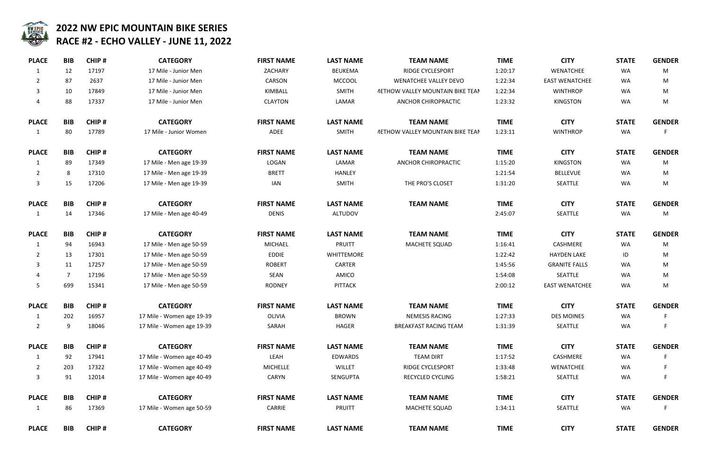

| <b>PLACE</b>   | <b>BIB</b> | CHIP# | <b>CATEGORY</b>           | <b>FIRST NAME</b> | <b>LAST NAME</b>  | <b>TEAM NAME</b>                               | <b>TIME</b> | <b>CITY</b>           | <b>STATE</b> | <b>GENI</b> |
|----------------|------------|-------|---------------------------|-------------------|-------------------|------------------------------------------------|-------------|-----------------------|--------------|-------------|
| 1              | 12         | 17197 | 17 Mile - Junior Men      | ZACHARY           | <b>BEUKEMA</b>    | <b>RIDGE CYCLESPORT</b>                        | 1:20:17     | WENATCHEE             | WA           | N           |
| 2              | 87         | 2637  | 17 Mile - Junior Men      | CARSON            | <b>MCCOOL</b>     | <b>WENATCHEE VALLEY DEVO</b>                   | 1:22:34     | <b>EAST WENATCHEE</b> | WA           | N           |
| 3              | 10         | 17849 | 17 Mile - Junior Men      | KIMBALL           | <b>SMITH</b>      | <b><i>METHOW VALLEY MOUNTAIN BIKE TEAN</i></b> | 1:22:34     | <b>WINTHROP</b>       | WA           | M           |
| 4              | 88         | 17337 | 17 Mile - Junior Men      | <b>CLAYTON</b>    | LAMAR             | ANCHOR CHIROPRACTIC                            | 1:23:32     | <b>KINGSTON</b>       | WA           | $\mathsf N$ |
| <b>PLACE</b>   | <b>BIB</b> | CHIP# | <b>CATEGORY</b>           | <b>FIRST NAME</b> | <b>LAST NAME</b>  | <b>TEAM NAME</b>                               | <b>TIME</b> | <b>CITY</b>           | <b>STATE</b> | <b>GENI</b> |
| $\mathbf{1}$   | 80         | 17789 | 17 Mile - Junior Women    | ADEE              | <b>SMITH</b>      | <b><i>METHOW VALLEY MOUNTAIN BIKE TEAN</i></b> | 1:23:11     | <b>WINTHROP</b>       | WA           |             |
| <b>PLACE</b>   | <b>BIB</b> | CHIP# | <b>CATEGORY</b>           | <b>FIRST NAME</b> | <b>LAST NAME</b>  | <b>TEAM NAME</b>                               | <b>TIME</b> | <b>CITY</b>           | <b>STATE</b> | <b>GENI</b> |
|                | 89         | 17349 | 17 Mile - Men age 19-39   | LOGAN             | LAMAR             | ANCHOR CHIROPRACTIC                            | 1:15:20     | <b>KINGSTON</b>       | WA           | M           |
| $\overline{2}$ | 8          | 17310 | 17 Mile - Men age 19-39   | <b>BRETT</b>      | <b>HANLEY</b>     |                                                | 1:21:54     | <b>BELLEVUE</b>       | WA           | N           |
| 3              | 15         | 17206 | 17 Mile - Men age 19-39   | <b>IAN</b>        | <b>SMITH</b>      | THE PRO'S CLOSET                               | 1:31:20     | <b>SEATTLE</b>        | WA           | M           |
| <b>PLACE</b>   | <b>BIB</b> | CHIP# | <b>CATEGORY</b>           | <b>FIRST NAME</b> | <b>LAST NAME</b>  | <b>TEAM NAME</b>                               | <b>TIME</b> | <b>CITY</b>           | <b>STATE</b> | <b>GENI</b> |
|                | 14         | 17346 | 17 Mile - Men age 40-49   | <b>DENIS</b>      | ALTUDOV           |                                                | 2:45:07     | SEATTLE               | WA           | M           |
| <b>PLACE</b>   | <b>BIB</b> | CHIP# | <b>CATEGORY</b>           | <b>FIRST NAME</b> | <b>LAST NAME</b>  | <b>TEAM NAME</b>                               | <b>TIME</b> | <b>CITY</b>           | <b>STATE</b> | <b>GENI</b> |
|                | 94         | 16943 | 17 Mile - Men age 50-59   | <b>MICHAEL</b>    | <b>PRUITT</b>     | MACHETE SQUAD                                  | 1:16:41     | CASHMERE              | WA           | M           |
| 2              | 13         | 17301 | 17 Mile - Men age 50-59   | <b>EDDIE</b>      | <b>WHITTEMORE</b> |                                                | 1:22:42     | <b>HAYDEN LAKE</b>    | ID           | N           |
| 3              | 11         | 17257 | 17 Mile - Men age 50-59   | <b>ROBERT</b>     | <b>CARTER</b>     |                                                | 1:45:56     | <b>GRANITE FALLS</b>  | WA           | M           |
|                | 7          | 17196 | 17 Mile - Men age 50-59   | SEAN              | AMICO             |                                                | 1:54:08     | SEATTLE               | WA           | N           |
| 5              | 699        | 15341 | 17 Mile - Men age 50-59   | <b>RODNEY</b>     | <b>PITTACK</b>    |                                                | 2:00:12     | <b>EAST WENATCHEE</b> | WA           | M           |
| <b>PLACE</b>   | <b>BIB</b> | CHIP# | <b>CATEGORY</b>           | <b>FIRST NAME</b> | <b>LAST NAME</b>  | <b>TEAM NAME</b>                               | <b>TIME</b> | <b>CITY</b>           | <b>STATE</b> | <b>GENI</b> |
| $\mathbf{1}$   | 202        | 16957 | 17 Mile - Women age 19-39 | OLIVIA            | <b>BROWN</b>      | NEMESIS RACING                                 | 1:27:33     | <b>DES MOINES</b>     | WA           |             |
| $\overline{2}$ | 9          | 18046 | 17 Mile - Women age 19-39 | SARAH             | <b>HAGER</b>      | <b>BREAKFAST RACING TEAM</b>                   | 1:31:39     | SEATTLE               | WA           |             |
| <b>PLACE</b>   | <b>BIB</b> | CHIP# | <b>CATEGORY</b>           | <b>FIRST NAME</b> | <b>LAST NAME</b>  | <b>TEAM NAME</b>                               | <b>TIME</b> | <b>CITY</b>           | <b>STATE</b> | <b>GENI</b> |
|                | 92         | 17941 | 17 Mile - Women age 40-49 | LEAH              | <b>EDWARDS</b>    | <b>TEAM DIRT</b>                               | 1:17:52     | CASHMERE              | WA           |             |
| $\overline{2}$ | 203        | 17322 | 17 Mile - Women age 40-49 | <b>MICHELLE</b>   | WILLET            | RIDGE CYCLESPORT                               | 1:33:48     | <b>WENATCHEE</b>      | WA           | F           |
| 3              | 91         | 12014 | 17 Mile - Women age 40-49 | CARYN             | <b>SENGUPTA</b>   | RECYCLED CYCLING                               | 1:58:21     | SEATTLE               | WA           | F           |
| <b>PLACE</b>   | <b>BIB</b> | CHIP# | <b>CATEGORY</b>           | <b>FIRST NAME</b> | <b>LAST NAME</b>  | <b>TEAM NAME</b>                               | <b>TIME</b> | <b>CITY</b>           | <b>STATE</b> | <b>GENI</b> |
| 1              | 86         | 17369 | 17 Mile - Women age 50-59 | CARRIE            | <b>PRUITT</b>     | MACHETE SQUAD                                  | 1:34:11     | SEATTLE               | WA           | F           |
| <b>PLACE</b>   | <b>BIB</b> | CHIP# | <b>CATEGORY</b>           | <b>FIRST NAME</b> | <b>LAST NAME</b>  | <b>TEAM NAME</b>                               | <b>TIME</b> | <b>CITY</b>           | <b>STATE</b> | <b>GENI</b> |

| <b>TEAM NAME</b>             | <b>TIME</b> | <b>CITY</b>           | <b>STATE</b> | <b>GENDER</b> |
|------------------------------|-------------|-----------------------|--------------|---------------|
| RIDGE CYCLESPORT             | 1:20:17     | <b>WENATCHEE</b>      | <b>WA</b>    | M             |
| WENATCHEE VALLEY DEVO        | 1:22:34     | <b>EAST WENATCHEE</b> | <b>WA</b>    | M             |
| W VALLEY MOUNTAIN BIKE TEAN  | 1:22:34     | <b>WINTHROP</b>       | <b>WA</b>    | M             |
| <b>ANCHOR CHIROPRACTIC</b>   | 1:23:32     | <b>KINGSTON</b>       | <b>WA</b>    | M             |
| <b>TEAM NAME</b>             | <b>TIME</b> | <b>CITY</b>           | <b>STATE</b> | <b>GENDER</b> |
| W VALLEY MOUNTAIN BIKE TEAN  | 1:23:11     | <b>WINTHROP</b>       | <b>WA</b>    | F             |
| <b>TEAM NAME</b>             | <b>TIME</b> | <b>CITY</b>           | <b>STATE</b> | <b>GENDER</b> |
| <b>ANCHOR CHIROPRACTIC</b>   | 1:15:20     | <b>KINGSTON</b>       | <b>WA</b>    | M             |
|                              | 1:21:54     | <b>BELLEVUE</b>       | <b>WA</b>    | M             |
| THE PRO'S CLOSET             | 1:31:20     | <b>SEATTLE</b>        | <b>WA</b>    | M             |
| <b>TEAM NAME</b>             | <b>TIME</b> | <b>CITY</b>           | <b>STATE</b> | <b>GENDER</b> |
|                              | 2:45:07     | <b>SEATTLE</b>        | <b>WA</b>    | M             |
| <b>TEAM NAME</b>             | <b>TIME</b> | <b>CITY</b>           | <b>STATE</b> | <b>GENDER</b> |
| MACHETE SQUAD                | 1:16:41     | <b>CASHMERE</b>       | <b>WA</b>    | M             |
|                              | 1:22:42     | <b>HAYDEN LAKE</b>    | ID           | M             |
|                              | 1:45:56     | <b>GRANITE FALLS</b>  | <b>WA</b>    | M             |
|                              | 1:54:08     | <b>SEATTLE</b>        | <b>WA</b>    | M             |
|                              | 2:00:12     | <b>EAST WENATCHEE</b> | <b>WA</b>    | M             |
| <b>TEAM NAME</b>             | <b>TIME</b> | <b>CITY</b>           | <b>STATE</b> | <b>GENDER</b> |
| <b>NEMESIS RACING</b>        | 1:27:33     | <b>DES MOINES</b>     | <b>WA</b>    | -F.           |
| <b>BREAKFAST RACING TEAM</b> | 1:31:39     | <b>SEATTLE</b>        | <b>WA</b>    | F             |
| <b>TEAM NAME</b>             | <b>TIME</b> | <b>CITY</b>           | <b>STATE</b> | <b>GENDER</b> |
| <b>TEAM DIRT</b>             | 1:17:52     | CASHMERE              | <b>WA</b>    | F             |
| RIDGE CYCLESPORT             | 1:33:48     | <b>WENATCHEE</b>      | <b>WA</b>    | F             |
| RECYCLED CYCLING             | 1:58:21     | <b>SEATTLE</b>        | <b>WA</b>    | F             |
| <b>TEAM NAME</b>             | <b>TIME</b> | <b>CITY</b>           | <b>STATE</b> | <b>GENDER</b> |
| <b>MACHETE SQUAD</b>         | 1:34:11     | <b>SEATTLE</b>        | <b>WA</b>    | F             |
| <b>TEAM NAME</b>             | <b>TIME</b> | <b>CITY</b>           | <b>STATE</b> | <b>GENDER</b> |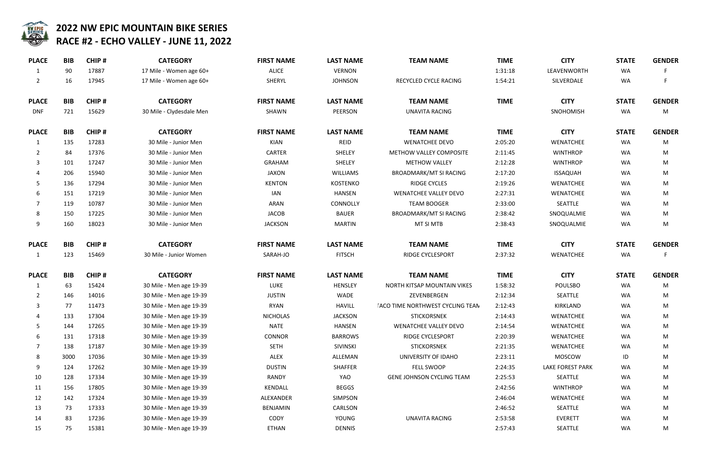

| <b>TEAM NAME</b>              | <b>TIME</b> | <b>CITY</b>             | <b>STATE</b> | <b>GENDER</b> |
|-------------------------------|-------------|-------------------------|--------------|---------------|
|                               | 1:31:18     | LEAVENWORTH             | <b>WA</b>    | F             |
| <b>CLED CYCLE RACING</b>      | 1:54:21     | SILVERDALE              | <b>WA</b>    | F             |
| <b>TEAM NAME</b>              | <b>TIME</b> | <b>CITY</b>             | <b>STATE</b> | <b>GENDER</b> |
| <b>NAVITA RACING</b>          |             | SNOHOMISH               | <b>WA</b>    | M             |
| <b>TEAM NAME</b>              | <b>TIME</b> | <b>CITY</b>             | <b>STATE</b> | <b>GENDER</b> |
| <b>ENATCHEE DEVO</b>          | 2:05:20     | <b>WENATCHEE</b>        | <b>WA</b>    | M             |
| W VALLEY COMPOSITE            | 2:11:45     | <b>WINTHROP</b>         | <b>WA</b>    | M             |
| <b>IETHOW VALLEY</b>          | 2:12:28     | <b>WINTHROP</b>         | <b>WA</b>    | M             |
| MARK/MT SI RACING             | 2:17:20     | <b>ISSAQUAH</b>         | <b>WA</b>    | M             |
| <b>RIDGE CYCLES</b>           | 2:19:26     | <b>WENATCHEE</b>        | <b>WA</b>    | M             |
| <b>TCHEE VALLEY DEVO</b>      | 2:27:31     | <b>WENATCHEE</b>        | <b>WA</b>    | M             |
| <b>TEAM BOOGER</b>            | 2:33:00     | <b>SEATTLE</b>          | <b>WA</b>    | M             |
| MARK/MT SI RACING             | 2:38:42     | SNOQUALMIE              | <b>WA</b>    | M             |
| MT SI MTB                     | 2:38:43     | SNOQUALMIE              | WA           | M             |
| <b>TEAM NAME</b>              | <b>TIME</b> | <b>CITY</b>             | <b>STATE</b> | <b>GENDER</b> |
| <b>DGE CYCLESPORT</b>         | 2:37:32     | <b>WENATCHEE</b>        | <b>WA</b>    | F             |
| <b>TEAM NAME</b>              | <b>TIME</b> | <b>CITY</b>             | <b>STATE</b> | <b>GENDER</b> |
| <b>ITSAP MOUNTAIN VIKES</b>   | 1:58:32     | <b>POULSBO</b>          | <b>WA</b>    | M             |
| ZEVENBERGEN                   | 2:12:34     | <b>SEATTLE</b>          | <b>WA</b>    | M             |
| <b>IORTHWEST CYCLING TEAN</b> | 2:12:43     | KIRKLAND                | WA           | M             |
| <b>STICKORSNEK</b>            | 2:14:43     | WENATCHEE               | <b>WA</b>    | M             |
| <b>TCHEE VALLEY DEVO</b>      | 2:14:54     | <b>WENATCHEE</b>        | WA           | M             |
| DGE CYCLESPORT                | 2:20:39     | <b>WENATCHEE</b>        | <b>WA</b>    | M             |
| <b>STICKORSNEK</b>            | 2:21:35     | <b>WENATCHEE</b>        | <b>WA</b>    | M             |
| <b>VERSITY OF IDAHO</b>       | 2:23:11     | <b>MOSCOW</b>           | ID           | M             |
| FELL SWOOP                    | 2:24:35     | <b>LAKE FOREST PARK</b> | WA.          | M             |
| <b>HNSON CYCLING TEAM</b>     | 2:25:53     | <b>SEATTLE</b>          | <b>WA</b>    | M             |
|                               | 2:42:56     | <b>WINTHROP</b>         | <b>WA</b>    | M             |
|                               | 2:46:04     | <b>WENATCHEE</b>        | WA           | M             |
|                               | 2:46:52     | <b>SEATTLE</b>          | WA           | M             |
| INAVITA RACING                | 2:53:58     | <b>EVERETT</b>          | WA           | M             |
|                               | 7.57.43     | <b>SEATTLE</b>          | $M\Delta$    | M             |

| <b>PLACE</b>   | <b>BIB</b> | <b>CHIP#</b> | <b>CATEGORY</b>          | <b>FIRST NAME</b> | <b>LAST NAME</b> | <b>TEAM NAME</b>                        | <b>TIME</b> | <b>CITY</b>             | <b>STATE</b> | <b>GENI</b> |
|----------------|------------|--------------|--------------------------|-------------------|------------------|-----------------------------------------|-------------|-------------------------|--------------|-------------|
| $\mathbf{1}$   | 90         | 17887        | 17 Mile - Women age 60+  | <b>ALICE</b>      | <b>VERNON</b>    |                                         | 1:31:18     | LEAVENWORTH             | WA           |             |
| $\overline{2}$ | 16         | 17945        | 17 Mile - Women age 60+  | SHERYL            | <b>JOHNSON</b>   | RECYCLED CYCLE RACING                   | 1:54:21     | SILVERDALE              | WA           |             |
| <b>PLACE</b>   | <b>BIB</b> | CHIP#        | <b>CATEGORY</b>          | <b>FIRST NAME</b> | <b>LAST NAME</b> | <b>TEAM NAME</b>                        | <b>TIME</b> | <b>CITY</b>             | <b>STATE</b> | <b>GENI</b> |
| <b>DNF</b>     | 721        | 15629        | 30 Mile - Clydesdale Men | SHAWN             | <b>PEERSON</b>   | <b>UNAVITA RACING</b>                   |             | <b>SNOHOMISH</b>        | WA           | M           |
| <b>PLACE</b>   | <b>BIB</b> | CHIP#        | <b>CATEGORY</b>          | <b>FIRST NAME</b> | <b>LAST NAME</b> | <b>TEAM NAME</b>                        | <b>TIME</b> | <b>CITY</b>             | <b>STATE</b> | <b>GENI</b> |
| 1              | 135        | 17283        | 30 Mile - Junior Men     | KIAN              | <b>REID</b>      | <b>WENATCHEE DEVO</b>                   | 2:05:20     | <b>WENATCHEE</b>        | WA           | N           |
| 2              | 84         | 17376        | 30 Mile - Junior Men     | <b>CARTER</b>     | SHELEY           | METHOW VALLEY COMPOSITE                 | 2:11:45     | <b>WINTHROP</b>         | WA           | M           |
| 3              | 101        | 17247        | 30 Mile - Junior Men     | <b>GRAHAM</b>     | SHELEY           | <b>METHOW VALLEY</b>                    | 2:12:28     | <b>WINTHROP</b>         | WA           | M           |
|                | 206        | 15940        | 30 Mile - Junior Men     | <b>JAXON</b>      | <b>WILLIAMS</b>  | <b>BROADMARK/MT SI RACING</b>           | 2:17:20     | <b>ISSAQUAH</b>         | WA           | N           |
| 5              | 136        | 17294        | 30 Mile - Junior Men     | <b>KENTON</b>     | <b>KOSTENKO</b>  | <b>RIDGE CYCLES</b>                     | 2:19:26     | WENATCHEE               | WA           | M           |
| 6              | 151        | 17219        | 30 Mile - Junior Men     | IAN               | HANSEN           | <b>WENATCHEE VALLEY DEVO</b>            | 2:27:31     | WENATCHEE               | WA           | M           |
| 7              | 119        | 10787        | 30 Mile - Junior Men     | ARAN              | CONNOLLY         | <b>TEAM BOOGER</b>                      | 2:33:00     | SEATTLE                 | WA           | M           |
| 8              | 150        | 17225        | 30 Mile - Junior Men     | JACOB             | <b>BAUER</b>     | <b>BROADMARK/MT SI RACING</b>           | 2:38:42     | SNOQUALMIE              | WA           | N           |
| 9              | 160        | 18023        | 30 Mile - Junior Men     | <b>JACKSON</b>    | <b>MARTIN</b>    | MT SI MTB                               | 2:38:43     | SNOQUALMIE              | WA           | N           |
| <b>PLACE</b>   | <b>BIB</b> | <b>CHIP#</b> | <b>CATEGORY</b>          | <b>FIRST NAME</b> | <b>LAST NAME</b> | <b>TEAM NAME</b>                        | <b>TIME</b> | <b>CITY</b>             | <b>STATE</b> | <b>GENI</b> |
| 1              | 123        | 15469        | 30 Mile - Junior Women   | SARAH-JO          | <b>FITSCH</b>    | <b>RIDGE CYCLESPORT</b>                 | 2:37:32     | WENATCHEE               | WA           |             |
| <b>PLACE</b>   | <b>BIB</b> | <b>CHIP#</b> | <b>CATEGORY</b>          | <b>FIRST NAME</b> | <b>LAST NAME</b> | <b>TEAM NAME</b>                        | <b>TIME</b> | <b>CITY</b>             | <b>STATE</b> | <b>GENI</b> |
| $\mathbf{1}$   | 63         | 15424        | 30 Mile - Men age 19-39  | LUKE              | <b>HENSLEY</b>   | NORTH KITSAP MOUNTAIN VIKES             | 1:58:32     | <b>POULSBO</b>          | WA           | N           |
| $2^{\circ}$    | 146        | 14016        | 30 Mile - Men age 19-39  | <b>JUSTIN</b>     | WADE             | ZEVENBERGEN                             | 2:12:34     | SEATTLE                 | WA           | N           |
| 3              | 77         | 11473        | 30 Mile - Men age 19-39  | <b>RYAN</b>       | <b>HAVILL</b>    | <b>IACO TIME NORTHWEST CYCLING TEAN</b> | 2:12:43     | KIRKLAND                | WA           | N           |
| 4              | 133        | 17304        | 30 Mile - Men age 19-39  | <b>NICHOLAS</b>   | <b>JACKSON</b>   | <b>STICKORSNEK</b>                      | 2:14:43     | <b>WENATCHEE</b>        | WA           | M           |
| 5              | 144        | 17265        | 30 Mile - Men age 19-39  | <b>NATE</b>       | HANSEN           | <b>WENATCHEE VALLEY DEVO</b>            | 2:14:54     | WENATCHEE               | WA           | M           |
| 6              | 131        | 17318        | 30 Mile - Men age 19-39  | <b>CONNOR</b>     | <b>BARROWS</b>   | <b>RIDGE CYCLESPORT</b>                 | 2:20:39     | WENATCHEE               | WA           | M           |
|                | 138        | 17187        | 30 Mile - Men age 19-39  | <b>SETH</b>       | SIVINSKI         | <b>STICKORSNEK</b>                      | 2:21:35     | WENATCHEE               | WA           | M           |
| 8              | 3000       | 17036        | 30 Mile - Men age 19-39  | ALEX              | ALLEMAN          | UNIVERSITY OF IDAHO                     | 2:23:11     | <b>MOSCOW</b>           | ID           | M           |
| 9              | 124        | 17262        | 30 Mile - Men age 19-39  | <b>DUSTIN</b>     | SHAFFER          | FELL SWOOP                              | 2:24:35     | <b>LAKE FOREST PARK</b> | WA           | M           |
| 10             | 128        | 17334        | 30 Mile - Men age 19-39  | <b>RANDY</b>      | YAO              | GENE JOHNSON CYCLING TEAM               | 2:25:53     | SEATTLE                 | WA           | M           |
| 11             | 156        | 17805        | 30 Mile - Men age 19-39  | KENDALL           | <b>BEGGS</b>     |                                         | 2:42:56     | <b>WINTHROP</b>         | WA           | M           |
| 12             | 142        | 17324        | 30 Mile - Men age 19-39  | ALEXANDER         | SIMPSON          |                                         | 2:46:04     | WENATCHEE               | WA           | M           |
| 13             | 73         | 17333        | 30 Mile - Men age 19-39  | <b>BENJAMIN</b>   | CARLSON          |                                         | 2:46:52     | SEATTLE                 | WA           | M           |
| 14             | 83         | 17236        | 30 Mile - Men age 19-39  | CODY              | YOUNG            | <b>UNAVITA RACING</b>                   | 2:53:58     | <b>EVERETT</b>          | WA           | M           |
| 15             | 75         | 15381        | 30 Mile - Men age 19-39  | <b>ETHAN</b>      | <b>DENNIS</b>    |                                         | 2:57:43     | SEATTLE                 | WA           | M           |
|                |            |              |                          |                   |                  |                                         |             |                         |              |             |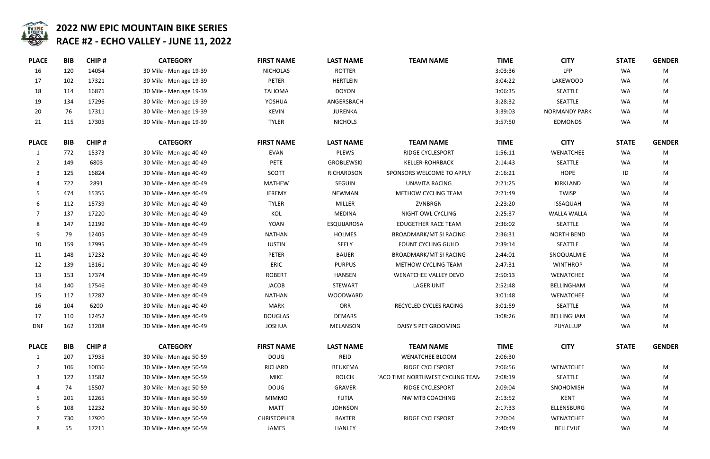

| <b>M NAME</b>          | <b>TIME</b> | <b>CITY</b>          | <b>STATE</b> | <b>GENDER</b> |  |
|------------------------|-------------|----------------------|--------------|---------------|--|
|                        | 3:03:36     | <b>LFP</b>           | <b>WA</b>    | M             |  |
|                        | 3:04:22     | <b>LAKEWOOD</b>      | <b>WA</b>    | M             |  |
|                        | 3:06:35     | <b>SEATTLE</b>       | <b>WA</b>    | M             |  |
|                        | 3:28:32     | <b>SEATTLE</b>       | <b>WA</b>    | M             |  |
|                        | 3:39:03     | <b>NORMANDY PARK</b> | <b>WA</b>    | M             |  |
|                        | 3:57:50     | <b>EDMONDS</b>       | WA           | M             |  |
| <b>M NAME</b>          | <b>TIME</b> | <b>CITY</b>          | <b>STATE</b> | <b>GENDER</b> |  |
| <b>CYCLESPORT</b>      | 1:56:11     | <b>WENATCHEE</b>     | <b>WA</b>    | M             |  |
| <b>R-ROHRBACK</b>      | 2:14:43     | <b>SEATTLE</b>       | <b>WA</b>    | M             |  |
| <b>ELCOME TO APPLY</b> | 2:16:21     | <b>HOPE</b>          | ID           | M             |  |
| <b>ITA RACING</b>      | 2:21:25     | KIRKLAND             | <b>WA</b>    | M             |  |
| <b>CYCLING TEAM</b>    | 2:21:49     | <b>TWISP</b>         | WA           | M             |  |
| <b>NBRGN</b>           | 2:23:20     | <b>ISSAQUAH</b>      | WA           | M             |  |
| <b>OWL CYCLING</b>     | 2:25:37     | <b>WALLA WALLA</b>   | <b>WA</b>    | M             |  |
| <b>IER RACE TEAM</b>   | 2:36:02     | <b>SEATTLE</b>       | <b>WA</b>    | M             |  |
| RK/MT SI RACING        | 2:36:31     | <b>NORTH BEND</b>    | WA           | M             |  |
| YCLING GUILD           | 2:39:14     | <b>SEATTLE</b>       | <b>WA</b>    | M             |  |
| RK/MT SI RACING        | 2:44:01     | SNOQUALMIE           | WA           | M             |  |
| <b>CYCLING TEAM</b>    | 2:47:31     | <b>WINTHROP</b>      | <b>WA</b>    | M             |  |
| EE VALLEY DEVO         | 2:50:13     | <b>WENATCHEE</b>     | WA           | M             |  |
| <b>GER UNIT</b>        | 2:52:48     | <b>BELLINGHAM</b>    | <b>WA</b>    | M             |  |
|                        | 3:01:48     | <b>WENATCHEE</b>     | WA           | M             |  |
| <b>CYCLES RACING</b>   | 3:01:59     | <b>SEATTLE</b>       | <b>WA</b>    | M             |  |
|                        | 3:08:26     | BELLINGHAM           | <b>WA</b>    | м             |  |
| <b>ET GROOMING</b>     |             | PUYALLUP             | WA           | M             |  |
| <b>M NAME</b>          | <b>TIME</b> | <b>CITY</b>          | <b>STATE</b> | <b>GENDER</b> |  |
| CHEE BLOOM             | 2:06:30     |                      |              |               |  |
| <b>CYCLESPORT</b>      | 2:06:56     | <b>WENATCHEE</b>     | WA           | M             |  |
| HWEST CYCLING TEAN     | 2:08:19     | <b>SEATTLE</b>       | WA           | M             |  |
| <b>CYCLESPORT</b>      | 2:09:04     | <b>SNOHOMISH</b>     | WA           | M             |  |
| <b>B COACHING</b>      | 2:13:52     | <b>KENT</b>          | <b>WA</b>    | M             |  |
|                        | 2:17:33     | <b>ELLENSBURG</b>    | <b>WA</b>    | M             |  |
| <b>CYCLESPORT</b>      | 2:20:04     | <b>WENATCHEE</b>     | WA           | M             |  |
|                        | 2.40.49     | <b>RELLEVILE</b>     | $M\Delta$    | M             |  |

| <b>PLACE</b> | <b>BIB</b> | CHIP# | <b>CATEGORY</b>         | <b>FIRST NAME</b>  | <b>LAST NAME</b>   | <b>TEAM NAME</b>                        | <b>TIME</b> | <b>CITY</b>          | <b>STATE</b> | <b>GENI</b> |
|--------------|------------|-------|-------------------------|--------------------|--------------------|-----------------------------------------|-------------|----------------------|--------------|-------------|
| 16           | 120        | 14054 | 30 Mile - Men age 19-39 | <b>NICHOLAS</b>    | <b>ROTTER</b>      |                                         | 3:03:36     | <b>LFP</b>           | WA           | M           |
| 17           | 102        | 17321 | 30 Mile - Men age 19-39 | PETER              | <b>HERTLEIN</b>    |                                         | 3:04:22     | LAKEWOOD             | WA           | M           |
| 18           | 114        | 16871 | 30 Mile - Men age 19-39 | <b>TAHOMA</b>      | <b>DOYON</b>       |                                         | 3:06:35     | SEATTLE              | WA           | M           |
| 19           | 134        | 17296 | 30 Mile - Men age 19-39 | YOSHUA             | ANGERSBACH         |                                         | 3:28:32     | SEATTLE              | WA           | M           |
| 20           | 76         | 17311 | 30 Mile - Men age 19-39 | <b>KEVIN</b>       | <b>JURENKA</b>     |                                         | 3:39:03     | <b>NORMANDY PARK</b> | WA           | M           |
| 21           | 115        | 17305 | 30 Mile - Men age 19-39 | <b>TYLER</b>       | <b>NICHOLS</b>     |                                         | 3:57:50     | <b>EDMONDS</b>       | WA           | M           |
| <b>PLACE</b> | <b>BIB</b> | CHIP# | <b>CATEGORY</b>         | <b>FIRST NAME</b>  | <b>LAST NAME</b>   | <b>TEAM NAME</b>                        | <b>TIME</b> | <b>CITY</b>          | <b>STATE</b> | <b>GENI</b> |
| 1            | 772        | 15373 | 30 Mile - Men age 40-49 | <b>EVAN</b>        | <b>PLEWS</b>       | RIDGE CYCLESPORT                        | 1:56:11     | WENATCHEE            | WA           | M           |
| 2            | 149        | 6803  | 30 Mile - Men age 40-49 | PETE               | GROBLEWSKI         | <b>KELLER-ROHRBACK</b>                  | 2:14:43     | SEATTLE              | WA           | M           |
|              | 125        | 16824 | 30 Mile - Men age 40-49 | <b>SCOTT</b>       | RICHARDSON         | SPONSORS WELCOME TO APPLY               | 2:16:21     | <b>HOPE</b>          | ID           | M           |
|              | 722        | 2891  | 30 Mile - Men age 40-49 | <b>MATHEW</b>      | SEGUIN             | <b>UNAVITA RACING</b>                   | 2:21:25     | KIRKLAND             | WA           | M           |
| 5            | 474        | 15355 | 30 Mile - Men age 40-49 | JEREMY             | NEWMAN             | METHOW CYCLING TEAM                     | 2:21:49     | <b>TWISP</b>         | WA           | N           |
| 6            | 112        | 15739 | 30 Mile - Men age 40-49 | <b>TYLER</b>       | <b>MILLER</b>      | ZVNBRGN                                 | 2:23:20     | <b>ISSAQUAH</b>      | WA           | M           |
|              | 137        | 17220 | 30 Mile - Men age 40-49 | KOL                | MEDINA             | NIGHT OWL CYCLING                       | 2:25:37     | <b>WALLA WALLA</b>   | WA           | M           |
| 8            | 147        | 12199 | 30 Mile - Men age 40-49 | <b>YOAN</b>        | <b>ESQUIJAROSA</b> | <b>EDUGETHER RACE TEAM</b>              | 2:36:02     | SEATTLE              | WA           | M           |
| 9            | 79         | 12405 | 30 Mile - Men age 40-49 | <b>NATHAN</b>      | <b>HOLMES</b>      | <b>BROADMARK/MT SI RACING</b>           | 2:36:31     | <b>NORTH BEND</b>    | WA           | M           |
| 10           | 159        | 17995 | 30 Mile - Men age 40-49 | <b>JUSTIN</b>      | SEELY              | <b>FOUNT CYCLING GUILD</b>              | 2:39:14     | SEATTLE              | <b>WA</b>    | M           |
| 11           | 148        | 17232 | 30 Mile - Men age 40-49 | <b>PETER</b>       | <b>BAUER</b>       | <b>BROADMARK/MT SI RACING</b>           | 2:44:01     | SNOQUALMIE           | WA           | M           |
| 12           | 139        | 13161 | 30 Mile - Men age 40-49 | ERIC               | <b>PURPUS</b>      | <b>METHOW CYCLING TEAM</b>              | 2:47:31     | <b>WINTHROP</b>      | WA           | M           |
| 13           | 153        | 17374 | 30 Mile - Men age 40-49 | <b>ROBERT</b>      | <b>HANSEN</b>      | <b>WENATCHEE VALLEY DEVO</b>            | 2:50:13     | WENATCHEE            | WA           | M           |
| 14           | 140        | 17546 | 30 Mile - Men age 40-49 | <b>JACOB</b>       | <b>STEWART</b>     | <b>LAGER UNIT</b>                       | 2:52:48     | BELLINGHAM           | WA           | M           |
| 15           | 117        | 17287 | 30 Mile - Men age 40-49 | <b>NATHAN</b>      | WOODWARD           |                                         | 3:01:48     | WENATCHEE            | WA           | M           |
| 16           | 104        | 6200  | 30 Mile - Men age 40-49 | <b>MARK</b>        | ORR                | RECYCLED CYCLES RACING                  | 3:01:59     | SEATTLE              | WA           | N           |
| 17           | 110        | 12452 | 30 Mile - Men age 40-49 | <b>DOUGLAS</b>     | <b>DEMARS</b>      |                                         | 3:08:26     | BELLINGHAM           | WA           | M           |
| <b>DNF</b>   | 162        | 13208 | 30 Mile - Men age 40-49 | <b>JOSHUA</b>      | MELANSON           | DAISY'S PET GROOMING                    |             | PUYALLUP             | WA           | M           |
| <b>PLACE</b> | <b>BIB</b> | CHIP# | <b>CATEGORY</b>         | <b>FIRST NAME</b>  | <b>LAST NAME</b>   | <b>TEAM NAME</b>                        | <b>TIME</b> | <b>CITY</b>          | <b>STATE</b> | <b>GENI</b> |
| 1            | 207        | 17935 | 30 Mile - Men age 50-59 | <b>DOUG</b>        | REID               | <b>WENATCHEE BLOOM</b>                  | 2:06:30     |                      |              |             |
| 2            | 106        | 10036 | 30 Mile - Men age 50-59 | RICHARD            | <b>BEUKEMA</b>     | <b>RIDGE CYCLESPORT</b>                 | 2:06:56     | WENATCHEE            | WA           | M           |
|              | 122        | 13582 | 30 Mile - Men age 50-59 | <b>MIKE</b>        | <b>ROLCIK</b>      | <b>IACO TIME NORTHWEST CYCLING TEAN</b> | 2:08:19     | SEATTLE              | WA           | M           |
|              | 74         | 15507 | 30 Mile - Men age 50-59 | <b>DOUG</b>        | GRAVER             | RIDGE CYCLESPORT                        | 2:09:04     | SNOHOMISH            | WA           | M           |
|              | 201        | 12265 | 30 Mile - Men age 50-59 | <b>MIMMO</b>       | <b>FUTIA</b>       | NW MTB COACHING                         | 2:13:52     | <b>KENT</b>          | WA           | M           |
| 6            | 108        | 12232 | 30 Mile - Men age 50-59 | <b>MATT</b>        | <b>JOHNSON</b>     |                                         | 2:17:33     | ELLENSBURG           | WA           | M           |
|              | 730        | 17920 | 30 Mile - Men age 50-59 | <b>CHRISTOPHER</b> | <b>BAXTER</b>      | RIDGE CYCLESPORT                        | 2:20:04     | WENATCHEE            | WA           | M           |
| 8            | 55         | 17211 | 30 Mile - Men age 50-59 | JAMES              | <b>HANLEY</b>      |                                         | 2:40:49     | <b>BELLEVUE</b>      | WA           | M           |
|              |            |       |                         |                    |                    |                                         |             |                      |              |             |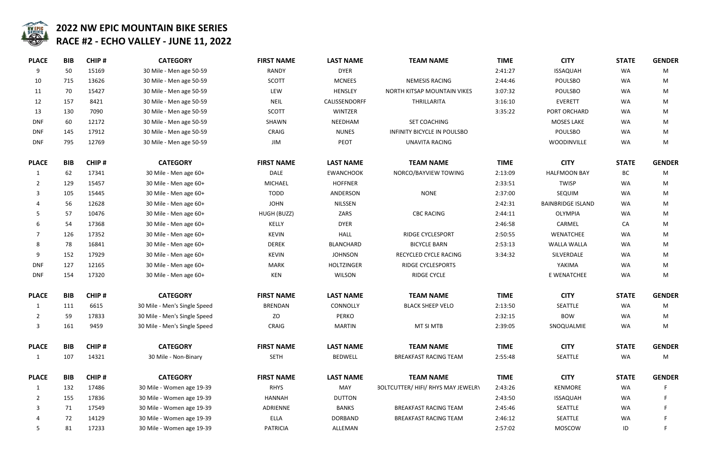

| <b>M NAME</b>        | <b>TIME</b> | <b>CITY</b>              | <b>STATE</b> | <b>GENDER</b> |
|----------------------|-------------|--------------------------|--------------|---------------|
|                      | 2:41:27     | <b>ISSAQUAH</b>          | <b>WA</b>    | M             |
| <b>SIS RACING</b>    | 2:44:46     | <b>POULSBO</b>           | <b>WA</b>    | M             |
| P MOUNTAIN VIKES     | 3:07:32     | <b>POULSBO</b>           | <b>WA</b>    | M             |
| RILLARITA            | 3:16:10     | <b>EVERETT</b>           | <b>WA</b>    | M             |
|                      | 3:35:22     | PORT ORCHARD             | <b>WA</b>    | M             |
| COACHING             |             | <b>MOSES LAKE</b>        | <b>WA</b>    | M             |
| YCLE IN POULSBO      |             | <b>POULSBO</b>           | <b>WA</b>    | M             |
| <b>ITA RACING</b>    |             | WOODINVILLE              | <b>WA</b>    | M             |
| <b>M NAME</b>        | <b>TIME</b> | <b>CITY</b>              | <b>STATE</b> | <b>GENDER</b> |
| <b>IYVIEW TOWING</b> | 2:13:09     | <b>HALFMOON BAY</b>      | <b>BC</b>    | M             |
|                      | 2:33:51     | <b>TWISP</b>             | <b>WA</b>    | M             |
| <b>NONE</b>          | 2:37:00     | <b>SEQUIM</b>            | <b>WA</b>    | M             |
|                      | 2:42:31     | <b>BAINBRIDGE ISLAND</b> | <b>WA</b>    | M             |
| C RACING             | 2:44:11     | <b>OLYMPIA</b>           | WA           | M             |
|                      | 2:46:58     | CARMEL                   | CA           | M             |
| <b>CYCLESPORT</b>    | 2:50:55     | <b>WENATCHEE</b>         | <b>WA</b>    | M             |
| <b>CLE BARN</b>      | 2:53:13     | <b>WALLA WALLA</b>       | <b>WA</b>    | M             |
| CYCLE RACING         | 3:34:32     | SILVERDALE               | <b>WA</b>    | M             |
| <b>CYCLESPORTS</b>   |             | YAKIMA                   | <b>WA</b>    | M             |
| <b>GE CYCLE</b>      |             | E WENATCHEE              | <b>WA</b>    | M             |
| <b>M NAME</b>        | <b>TIME</b> | <b>CITY</b>              | <b>STATE</b> | <b>GENDER</b> |
| <b>SHEEP VELO</b>    | 2:13:50     | <b>SEATTLE</b>           | <b>WA</b>    | M             |
|                      | 2:32:15     | <b>BOW</b>               | <b>WA</b>    | M             |
| T SI MTB             | 2:39:05     | SNOQUALMIE               | WA           | M             |
| <b>M NAME</b>        | <b>TIME</b> | <b>CITY</b>              | <b>STATE</b> | <b>GENDER</b> |
| T RACING TEAM        | 2:55:48     | <b>SEATTLE</b>           | <b>WA</b>    | M             |
| <b>M NAME</b>        | <b>TIME</b> | <b>CITY</b>              | <b>STATE</b> | <b>GENDER</b> |
| FI/ RHYS MAY JEWELR\ | 2:43:26     | <b>KENMORE</b>           | WA           | F             |
|                      | 2:43:50     | <b>ISSAQUAH</b>          | WA           | F.            |
| T RACING TEAM        | 2:45:46     | SEATTLE                  | <b>WA</b>    | F             |
| T RACING TEAM        | 2:46:12     | SEATTLE                  | <b>WA</b>    | F             |
|                      | 2:57:02     | <b>MOSCOW</b>            | ID           | F.            |

| <b>PLACE</b> | <b>BIB</b> | CHIP#        | <b>CATEGORY</b>              | <b>FIRST NAME</b> | <b>LAST NAME</b>  | <b>TEAM NAME</b>                          | <b>TIME</b> | <b>CITY</b>              | <b>STATE</b> | <b>GENI</b> |
|--------------|------------|--------------|------------------------------|-------------------|-------------------|-------------------------------------------|-------------|--------------------------|--------------|-------------|
| 9            | 50         | 15169        | 30 Mile - Men age 50-59      | <b>RANDY</b>      | <b>DYER</b>       |                                           | 2:41:27     | <b>ISSAQUAH</b>          | WA           | N           |
| 10           | 715        | 13626        | 30 Mile - Men age 50-59      | <b>SCOTT</b>      | <b>MCNEES</b>     | <b>NEMESIS RACING</b>                     | 2:44:46     | <b>POULSBO</b>           | WA           | M           |
| 11           | 70         | 15427        | 30 Mile - Men age 50-59      | LEW               | <b>HENSLEY</b>    | NORTH KITSAP MOUNTAIN VIKES               | 3:07:32     | <b>POULSBO</b>           | WA           | M           |
| 12           | 157        | 8421         | 30 Mile - Men age 50-59      | <b>NEIL</b>       | CALISSENDORFF     | THRILLARITA                               | 3:16:10     | <b>EVERETT</b>           | <b>WA</b>    | N           |
| 13           | 130        | 7090         | 30 Mile - Men age 50-59      | <b>SCOTT</b>      | <b>WINTZER</b>    |                                           | 3:35:22     | PORT ORCHARD             | WA           | M           |
| <b>DNF</b>   | 60         | 12172        | 30 Mile - Men age 50-59      | SHAWN             | NEEDHAM           | SET COACHING                              |             | <b>MOSES LAKE</b>        | WA           | N           |
| <b>DNF</b>   | 145        | 17912        | 30 Mile - Men age 50-59      | CRAIG             | <b>NUNES</b>      | <b>INFINITY BICYCLE IN POULSBO</b>        |             | POULSBO                  | WA           | M           |
| <b>DNF</b>   | 795        | 12769        | 30 Mile - Men age 50-59      | JIM               | PEOT              | <b>UNAVITA RACING</b>                     |             | WOODINVILLE              | WA           | M           |
| <b>PLACE</b> | <b>BIB</b> | CHIP#        | <b>CATEGORY</b>              | <b>FIRST NAME</b> | <b>LAST NAME</b>  | <b>TEAM NAME</b>                          | <b>TIME</b> | <b>CITY</b>              | <b>STATE</b> | <b>GENI</b> |
| -1           | 62         | 17341        | 30 Mile - Men age 60+        | <b>DALE</b>       | <b>EWANCHOOK</b>  | NORCO/BAYVIEW TOWING                      | 2:13:09     | <b>HALFMOON BAY</b>      | BC           | M           |
| 2            | 129        | 15457        | 30 Mile - Men age 60+        | <b>MICHAEL</b>    | <b>HOFFNER</b>    |                                           | 2:33:51     | <b>TWISP</b>             | WA           | M           |
| 3            | 105        | 15445        | 30 Mile - Men age 60+        | <b>TODD</b>       | ANDERSON          | <b>NONE</b>                               | 2:37:00     | SEQUIM                   | WA           | M           |
|              | 56         | 12628        | 30 Mile - Men age 60+        | <b>JOHN</b>       | <b>NILSSEN</b>    |                                           | 2:42:31     | <b>BAINBRIDGE ISLAND</b> | WA           | M           |
| 5.           | 57         | 10476        | 30 Mile - Men age 60+        | HUGH (BUZZ)       | ZARS              | <b>CBC RACING</b>                         | 2:44:11     | <b>OLYMPIA</b>           | WA           | M           |
| 6            | 54         | 17368        | 30 Mile - Men age 60+        | KELLY             | <b>DYER</b>       |                                           | 2:46:58     | CARMEL                   | CA           | N           |
|              | 126        | 17352        | 30 Mile - Men age 60+        | <b>KEVIN</b>      | <b>HALL</b>       | <b>RIDGE CYCLESPORT</b>                   | 2:50:55     | WENATCHEE                | WA           | N           |
| 8            | 78         | 16841        | 30 Mile - Men age 60+        | <b>DEREK</b>      | <b>BLANCHARD</b>  | <b>BICYCLE BARN</b>                       | 2:53:13     | <b>WALLA WALLA</b>       | WA           | N           |
| 9            | 152        | 17929        | 30 Mile - Men age 60+        | <b>KEVIN</b>      | <b>JOHNSON</b>    | RECYCLED CYCLE RACING                     | 3:34:32     | SILVERDALE               | WA           | N           |
| <b>DNF</b>   | 127        | 12165        | 30 Mile - Men age 60+        | <b>MARK</b>       | <b>HOLTZINGER</b> | <b>RIDGE CYCLESPORTS</b>                  |             | YAKIMA                   | WA           | M           |
| <b>DNF</b>   | 154        | 17320        | 30 Mile - Men age 60+        | <b>KEN</b>        | <b>WILSON</b>     | <b>RIDGE CYCLE</b>                        |             | E WENATCHEE              | WA           | M           |
| <b>PLACE</b> | <b>BIB</b> | CHIP#        | <b>CATEGORY</b>              | <b>FIRST NAME</b> | <b>LAST NAME</b>  | <b>TEAM NAME</b>                          | <b>TIME</b> | <b>CITY</b>              | <b>STATE</b> | <b>GENI</b> |
| $\mathbf{1}$ | 111        | 6615         | 30 Mile - Men's Single Speed | <b>BRENDAN</b>    | CONNOLLY          | <b>BLACK SHEEP VELO</b>                   | 2:13:50     | SEATTLE                  | WA           | M           |
|              | 59         | 17833        | 30 Mile - Men's Single Speed | ZO                | <b>PERKO</b>      |                                           | 2:32:15     | <b>BOW</b>               | WA           | <b>N</b>    |
| 3            | 161        | 9459         | 30 Mile - Men's Single Speed | CRAIG             | <b>MARTIN</b>     | MT SI MTB                                 | 2:39:05     | SNOQUALMIE               | WA           | N           |
| <b>PLACE</b> | <b>BIB</b> | CHIP#        | <b>CATEGORY</b>              | <b>FIRST NAME</b> | <b>LAST NAME</b>  | <b>TEAM NAME</b>                          | <b>TIME</b> | <b>CITY</b>              | <b>STATE</b> | <b>GENI</b> |
|              | 107        | 14321        | 30 Mile - Non-Binary         | <b>SETH</b>       | <b>BEDWELL</b>    | BREAKFAST RACING TEAM                     | 2:55:48     | SEATTLE                  | WA           | M           |
| <b>PLACE</b> | <b>BIB</b> | <b>CHIP#</b> | <b>CATEGORY</b>              | <b>FIRST NAME</b> | <b>LAST NAME</b>  | <b>TEAM NAME</b>                          | <b>TIME</b> | <b>CITY</b>              | <b>STATE</b> | <b>GENI</b> |
| 1            | 132        | 17486        | 30 Mile - Women age 19-39    | <b>RHYS</b>       | MAY               | <b>BOLTCUTTER/ HIFI/ RHYS MAY JEWELRY</b> | 2:43:26     | KENMORE                  | WA           | F           |
|              | 155        | 17836        | 30 Mile - Women age 19-39    | <b>HANNAH</b>     | <b>DUTTON</b>     |                                           | 2:43:50     | <b>ISSAQUAH</b>          | WA           | F           |
| 3            | 71         | 17549        | 30 Mile - Women age 19-39    | ADRIENNE          | <b>BANKS</b>      | <b>BREAKFAST RACING TEAM</b>              | 2:45:46     | SEATTLE                  | WA           | F           |
|              | 72         | 14129        | 30 Mile - Women age 19-39    | <b>ELLA</b>       | <b>DORBAND</b>    | BREAKFAST RACING TEAM                     | 2:46:12     | SEATTLE                  | WA           |             |
| 5            | 81         | 17233        | 30 Mile - Women age 19-39    | <b>PATRICIA</b>   | ALLEMAN           |                                           | 2:57:02     | <b>MOSCOW</b>            | ID           |             |
|              |            |              |                              |                   |                   |                                           |             |                          |              |             |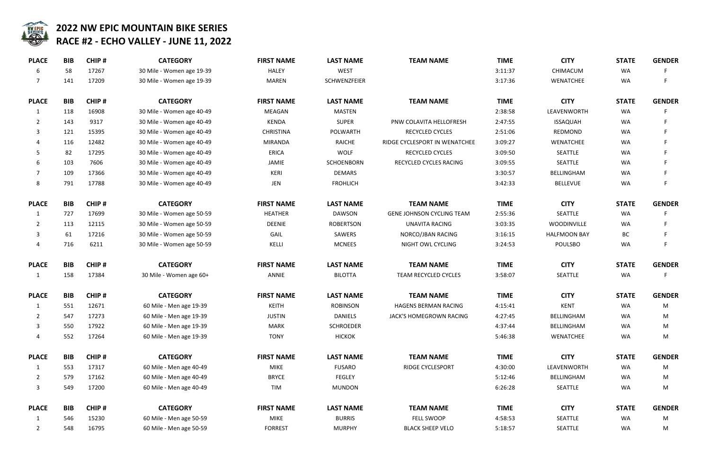

| <b>BIB</b> | <b>CHIP#</b> | <b>CATEGORY</b>           | <b>FIRST NAME</b> | <b>LAST NAME</b> | <b>TEAM NAME</b>                 | <b>TIME</b> | <b>CITY</b>         | <b>STATE</b> | <b>GENI</b> |
|------------|--------------|---------------------------|-------------------|------------------|----------------------------------|-------------|---------------------|--------------|-------------|
| 58         | 17267        | 30 Mile - Women age 19-39 | <b>HALEY</b>      | <b>WEST</b>      |                                  | 3:11:37     | CHIMACUM            | <b>WA</b>    |             |
| 141        | 17209        | 30 Mile - Women age 19-39 | MAREN             | SCHWENZFEIER     |                                  | 3:17:36     | <b>WENATCHEE</b>    | WA           | F           |
| <b>BIB</b> | <b>CHIP#</b> | <b>CATEGORY</b>           | <b>FIRST NAME</b> | <b>LAST NAME</b> | <b>TEAM NAME</b>                 | <b>TIME</b> | <b>CITY</b>         | <b>STATE</b> | <b>GENI</b> |
| 118        | 16908        | 30 Mile - Women age 40-49 | MEAGAN            | <b>MASTEN</b>    |                                  | 2:38:58     | LEAVENWORTH         | WA           |             |
| 143        | 9317         | 30 Mile - Women age 40-49 | KENDA             | <b>SUPER</b>     | PNW COLAVITA HELLOFRESH          | 2:47:55     | <b>ISSAQUAH</b>     | WA           | F           |
| 121        | 15395        | 30 Mile - Women age 40-49 | <b>CHRISTINA</b>  | POLWARTH         | RECYCLED CYCLES                  | 2:51:06     | <b>REDMOND</b>      | WA           |             |
| 116        | 12482        | 30 Mile - Women age 40-49 | <b>MIRANDA</b>    | <b>RAICHE</b>    | RIDGE CYCLESPORT IN WENATCHEE    | 3:09:27     | <b>WENATCHEE</b>    | WA           |             |
| 82         | 17295        | 30 Mile - Women age 40-49 | <b>ERICA</b>      | <b>WOLF</b>      | RECYCLED CYCLES                  | 3:09:50     | SEATTLE             | WA           |             |
| 103        | 7606         | 30 Mile - Women age 40-49 | JAMIE             | SCHOENBORN       | RECYCLED CYCLES RACING           | 3:09:55     | SEATTLE             | WA           |             |
| 109        | 17366        | 30 Mile - Women age 40-49 | KERI              | <b>DEMARS</b>    |                                  | 3:30:57     | BELLINGHAM          | WA           |             |
| 791        | 17788        | 30 Mile - Women age 40-49 | JEN               | <b>FROHLICH</b>  |                                  | 3:42:33     | <b>BELLEVUE</b>     | WA           |             |
| <b>BIB</b> | <b>CHIP#</b> | <b>CATEGORY</b>           | <b>FIRST NAME</b> | <b>LAST NAME</b> | <b>TEAM NAME</b>                 | <b>TIME</b> | <b>CITY</b>         | <b>STATE</b> | <b>GENI</b> |
| 727        | 17699        | 30 Mile - Women age 50-59 | <b>HEATHER</b>    | <b>DAWSON</b>    | <b>GENE JOHNSON CYCLING TEAM</b> | 2:55:36     | SEATTLE             | WA           | F           |
| 113        | 12115        | 30 Mile - Women age 50-59 | <b>DEENIE</b>     | <b>ROBERTSON</b> | <b>UNAVITA RACING</b>            | 3:03:35     | WOODINVILLE         | WA           | F           |
| 61         | 17216        | 30 Mile - Women age 50-59 | GAIL              | SAWERS           | NORCO/JBAN RACING                | 3:16:15     | <b>HALFMOON BAY</b> | BC           |             |
| 716        | 6211         | 30 Mile - Women age 50-59 | KELLI             | <b>MCNEES</b>    | NIGHT OWL CYCLING                | 3:24:53     | <b>POULSBO</b>      | WA           |             |
| <b>BIB</b> | CHIP#        | <b>CATEGORY</b>           | <b>FIRST NAME</b> | <b>LAST NAME</b> | <b>TEAM NAME</b>                 | <b>TIME</b> | <b>CITY</b>         | <b>STATE</b> | <b>GENI</b> |
| 158        | 17384        | 30 Mile - Women age 60+   | <b>ANNIE</b>      | <b>BILOTTA</b>   | TEAM RECYCLED CYCLES             | 3:58:07     | SEATTLE             | WA           |             |
| <b>BIB</b> | <b>CHIP#</b> | <b>CATEGORY</b>           | <b>FIRST NAME</b> | <b>LAST NAME</b> | <b>TEAM NAME</b>                 | <b>TIME</b> | <b>CITY</b>         | <b>STATE</b> | <b>GENI</b> |
| 551        | 12671        | 60 Mile - Men age 19-39   | <b>KEITH</b>      | <b>ROBINSON</b>  | <b>HAGENS BERMAN RACING</b>      | 4:15:41     | <b>KENT</b>         | <b>WA</b>    | M           |
| 547        | 17273        | 60 Mile - Men age 19-39   | <b>JUSTIN</b>     | <b>DANIELS</b>   | JACK'S HOMEGROWN RACING          | 4:27:45     | BELLINGHAM          | WA           | N           |
| 550        | 17922        | 60 Mile - Men age 19-39   | <b>MARK</b>       | <b>SCHROEDER</b> |                                  | 4:37:44     | BELLINGHAM          | WA           | M           |
| 552        | 17264        | 60 Mile - Men age 19-39   | <b>TONY</b>       | <b>HICKOK</b>    |                                  | 5:46:38     | WENATCHEE           | WA           | M           |
| <b>BIB</b> | CHIP#        | <b>CATEGORY</b>           | <b>FIRST NAME</b> | <b>LAST NAME</b> | <b>TEAM NAME</b>                 | <b>TIME</b> | <b>CITY</b>         | <b>STATE</b> | <b>GENI</b> |
| 553        | 17317        | 60 Mile - Men age 40-49   | <b>MIKE</b>       | <b>FUSARO</b>    | RIDGE CYCLESPORT                 | 4:30:00     | LEAVENWORTH         | WA           | M           |
| 579        | 17162        | 60 Mile - Men age 40-49   | <b>BRYCE</b>      | <b>FEGLEY</b>    |                                  | 5:12:46     | BELLINGHAM          | WA           | N           |
| 549        | 17200        | 60 Mile - Men age 40-49   | TIM               | <b>MUNDON</b>    |                                  | 6:26:28     | SEATTLE             | WA           | N           |
| <b>BIB</b> | CHIP#        | <b>CATEGORY</b>           | <b>FIRST NAME</b> | <b>LAST NAME</b> | <b>TEAM NAME</b>                 | <b>TIME</b> | <b>CITY</b>         | <b>STATE</b> | <b>GENI</b> |
| 546        | 15230        | 60 Mile - Men age 50-59   | <b>MIKE</b>       | <b>BURRIS</b>    | FELL SWOOP                       | 4:58:53     | SEATTLE             | <b>WA</b>    | M           |
| 548        | 16795        | 60 Mile - Men age 50-59   | <b>FORREST</b>    | <b>MURPHY</b>    | <b>BLACK SHEEP VELO</b>          | 5:18:57     | SEATTLE             | WA           | N           |
|            |              |                           |                   |                  |                                  |             |                     |              |             |

| <b>M NAME</b>          | <b>TIME</b> | <b>CITY</b>         | <b>STATE</b> | <b>GENDER</b> |
|------------------------|-------------|---------------------|--------------|---------------|
|                        | 3:11:37     | CHIMACUM            | <b>WA</b>    | F             |
|                        | 3:17:36     | <b>WENATCHEE</b>    | <b>WA</b>    | F             |
| <b>M NAME</b>          | <b>TIME</b> | <b>CITY</b>         | <b>STATE</b> | <b>GENDER</b> |
|                        | 2:38:58     | LEAVENWORTH         | <b>WA</b>    | F             |
| <b>VITA HELLOFRESH</b> | 2:47:55     | <b>ISSAQUAH</b>     | <b>WA</b>    | F             |
| <b>LED CYCLES</b>      | 2:51:06     | <b>REDMOND</b>      | <b>WA</b>    | F             |
| ORT IN WENATCHEE       | 3:09:27     | <b>WENATCHEE</b>    | <b>WA</b>    | F             |
| <b>LED CYCLES</b>      | 3:09:50     | <b>SEATTLE</b>      | <b>WA</b>    | F             |
| <b>CYCLES RACING</b>   | 3:09:55     | <b>SEATTLE</b>      | <b>WA</b>    | F             |
|                        | 3:30:57     | <b>BELLINGHAM</b>   | <b>WA</b>    | F             |
|                        | 3:42:33     | <b>BELLEVUE</b>     | <b>WA</b>    | F             |
| <b>M NAME</b>          | <b>TIME</b> | <b>CITY</b>         | <b>STATE</b> | <b>GENDER</b> |
| ON CYCLING TEAM        | 2:55:36     | <b>SEATTLE</b>      | <b>WA</b>    | F             |
| <b>ITA RACING</b>      | 3:03:35     | WOODINVILLE         | <b>WA</b>    | F             |
| <b>JBAN RACING</b>     | 3:16:15     | <b>HALFMOON BAY</b> | <b>BC</b>    | F.            |
| <b>OWL CYCLING</b>     | 3:24:53     | <b>POULSBO</b>      | <b>WA</b>    | F             |
| <b>M NAME</b>          | <b>TIME</b> | <b>CITY</b>         | <b>STATE</b> | <b>GENDER</b> |
| <b>CYCLED CYCLES</b>   | 3:58:07     | <b>SEATTLE</b>      | <b>WA</b>    | F             |
| <b>M NAME</b>          | <b>TIME</b> | <b>CITY</b>         | <b>STATE</b> | <b>GENDER</b> |
| <b>ERMAN RACING</b>    | 4:15:41     | <b>KENT</b>         | <b>WA</b>    | M             |
| <b>EGROWN RACING</b>   | 4:27:45     | <b>BELLINGHAM</b>   | WA           | M             |
|                        | 4:37:44     | <b>BELLINGHAM</b>   | WA           | M             |
|                        | 5:46:38     | <b>WENATCHEE</b>    | WA           | M             |
| <b>M NAME</b>          | <b>TIME</b> | <b>CITY</b>         | <b>STATE</b> | <b>GENDER</b> |
| <b>CYCLESPORT</b>      | 4:30:00     | LEAVENWORTH         | <b>WA</b>    | M             |
|                        | 5:12:46     | <b>BELLINGHAM</b>   | <b>WA</b>    | M             |
|                        | 6:26:28     | <b>SEATTLE</b>      | <b>WA</b>    | M             |
| <b>M NAME</b>          | <b>TIME</b> | <b>CITY</b>         | <b>STATE</b> | <b>GENDER</b> |
| L SWOOP                | 4:58:53     | <b>SEATTLE</b>      | <b>WA</b>    | M             |
| <b>SHEEP VELO</b>      | 5:18:57     | <b>SEATTLE</b>      | WA           | M             |